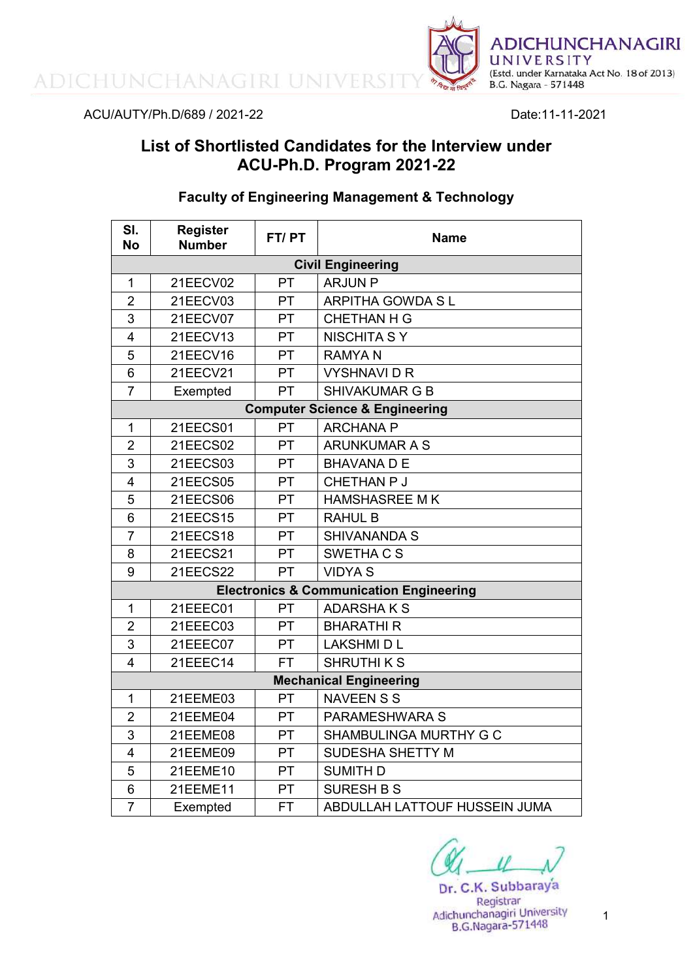ADICHUNCHANAGIRI UNIVERS



ACU/AUTY/Ph.D/689 / 2021-22 Date:11-11-2021

# **List of Shortlisted Candidates for the Interview under ACU-Ph.D. Program 2021-22**

## **Faculty of Engineering Management & Technology**

| SI.<br><b>No</b>                          | <b>Register</b><br><b>Number</b> | FT/PT     | <b>Name</b>                                        |  |
|-------------------------------------------|----------------------------------|-----------|----------------------------------------------------|--|
|                                           | <b>Civil Engineering</b>         |           |                                                    |  |
| 1                                         | 21EECV02                         | PT        | <b>ARJUN P</b>                                     |  |
| $\overline{2}$                            | 21EECV03                         | PT        | <b>ARPITHA GOWDA SL</b>                            |  |
| $\overline{3}$                            | 21EECV07                         | PT        | <b>CHETHAN H G</b>                                 |  |
| $\overline{4}$                            | 21EECV13                         | PT        | <b>NISCHITA S Y</b>                                |  |
| 5                                         | 21EECV16                         | PT        | <b>RAMYAN</b>                                      |  |
| 6                                         | 21EECV21                         | PT        | <b>VYSHNAVIDR</b>                                  |  |
| $\overline{7}$                            | Exempted                         | PT        | <b>SHIVAKUMAR G B</b>                              |  |
| <b>Computer Science &amp; Engineering</b> |                                  |           |                                                    |  |
| 1                                         | 21EECS01                         | PT        | <b>ARCHANA P</b>                                   |  |
| $\overline{2}$                            | 21EECS02                         | PT        | <b>ARUNKUMAR A S</b>                               |  |
| $\overline{3}$                            | 21EECS03                         | <b>PT</b> | <b>BHAVANA D E</b>                                 |  |
| $\overline{4}$                            | 21EECS05                         | PT        | CHETHAN P J                                        |  |
| 5                                         | 21EECS06                         | <b>PT</b> | <b>HAMSHASREE MK</b>                               |  |
| 6                                         | 21EECS15                         | <b>PT</b> | <b>RAHUL B</b>                                     |  |
| $\overline{7}$                            | 21EECS18                         | <b>PT</b> | <b>SHIVANANDA S</b>                                |  |
| 8                                         | 21EECS21                         | PT        | SWETHA C S                                         |  |
| 9                                         | <b>21EECS22</b>                  | <b>PT</b> | <b>VIDYA S</b>                                     |  |
|                                           |                                  |           | <b>Electronics &amp; Communication Engineering</b> |  |
| $\mathbf 1$                               | 21EEEC01                         | <b>PT</b> | <b>ADARSHAKS</b>                                   |  |
| $\overline{2}$                            | 21EEEC03                         | <b>PT</b> | <b>BHARATHIR</b>                                   |  |
| 3                                         | 21EEEC07                         | <b>PT</b> | <b>LAKSHMI D L</b>                                 |  |
| $\overline{4}$                            | 21EEEC14                         | <b>FT</b> | <b>SHRUTHIKS</b>                                   |  |
| <b>Mechanical Engineering</b>             |                                  |           |                                                    |  |
| 1                                         | 21EEME03                         | PT        | <b>NAVEEN S S</b>                                  |  |
| $\overline{2}$                            | 21EEME04                         | PT        | PARAMESHWARA S                                     |  |
| 3                                         | 21EEME08                         | PT        | SHAMBULINGA MURTHY G C                             |  |
| $\overline{4}$                            | 21EEME09                         | PT        | <b>SUDESHA SHETTY M</b>                            |  |
| 5                                         | 21EEME10                         | PT        | <b>SUMITH D</b>                                    |  |
| $6\phantom{1}$                            | 21EEME11                         | PT        | <b>SURESH B S</b>                                  |  |
| $\overline{7}$                            | Exempted                         | <b>FT</b> | ABDULLAH LATTOUF HUSSEIN JUMA                      |  |

Dr. C.K. Subbaraya Registrar Adichunchanagiri University<br>B.G.Nagara-571448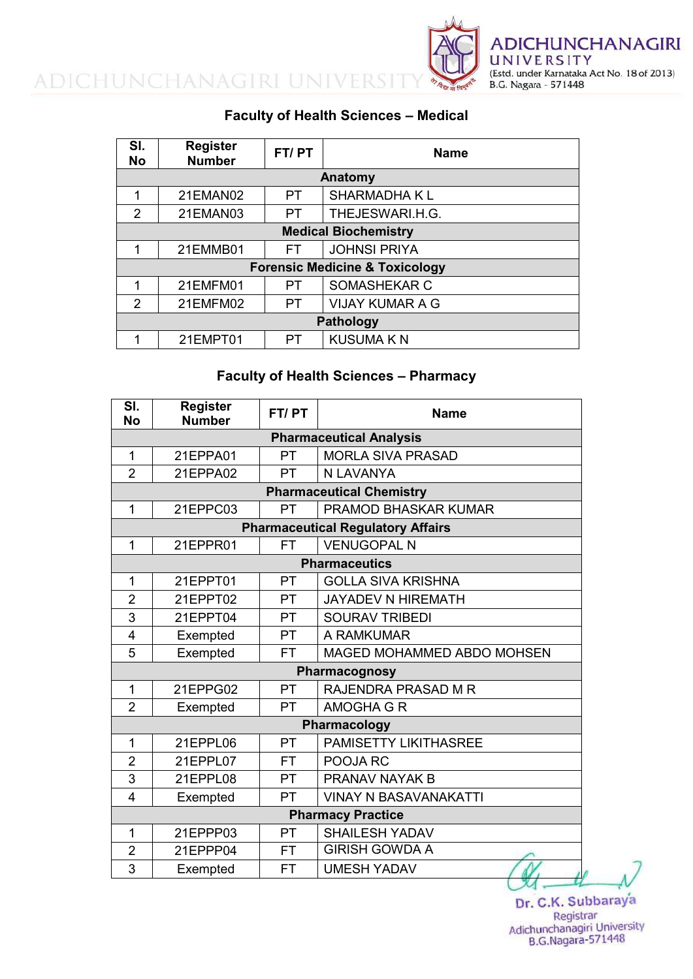

### **Faculty of Health Sciences – Medical**

| SI.<br><b>No</b>                          | <b>Register</b><br><b>Number</b> | FT/PT                      | <b>Name</b>            |  |  |  |
|-------------------------------------------|----------------------------------|----------------------------|------------------------|--|--|--|
|                                           | Anatomy                          |                            |                        |  |  |  |
| 1                                         | 21EMAN02                         | <b>PT</b>                  | <b>SHARMADHAKL</b>     |  |  |  |
| $\mathcal{P}$                             | 21EMAN03                         | PT                         | THEJESWARI.H.G.        |  |  |  |
| <b>Medical Biochemistry</b>               |                                  |                            |                        |  |  |  |
| 1                                         | 21EMMB01                         | <b>JOHNSI PRIYA</b><br>FT. |                        |  |  |  |
| <b>Forensic Medicine &amp; Toxicology</b> |                                  |                            |                        |  |  |  |
| 1                                         | 21EMFM01                         | PT                         | SOMASHEKAR C           |  |  |  |
| 2                                         | 21EMFM02                         | PT.                        | <b>VIJAY KUMAR A G</b> |  |  |  |
| <b>Pathology</b>                          |                                  |                            |                        |  |  |  |
|                                           | 21EMPT01                         | PT                         | <b>KUSUMA KN</b>       |  |  |  |

### **Faculty of Health Sciences – Pharmacy**

| SI.<br><b>No</b>                | <b>Register</b><br><b>Number</b> | FT/PT     | <b>Name</b>                              |  |
|---------------------------------|----------------------------------|-----------|------------------------------------------|--|
| <b>Pharmaceutical Analysis</b>  |                                  |           |                                          |  |
| $\overline{1}$                  | 21EPPA01                         | <b>PT</b> | <b>MORLA SIVA PRASAD</b>                 |  |
| $\overline{2}$                  | 21EPPA02                         | <b>PT</b> | N LAVANYA                                |  |
| <b>Pharmaceutical Chemistry</b> |                                  |           |                                          |  |
| 1                               | 21EPPC03                         | <b>PT</b> | <b>PRAMOD BHASKAR KUMAR</b>              |  |
|                                 |                                  |           | <b>Pharmaceutical Regulatory Affairs</b> |  |
| 1                               | 21EPPR01                         | <b>FT</b> | <b>VENUGOPAL N</b>                       |  |
|                                 |                                  |           | <b>Pharmaceutics</b>                     |  |
| 1                               | 21EPPT01                         | <b>PT</b> | <b>GOLLA SIVA KRISHNA</b>                |  |
| $\overline{2}$                  | 21EPPT02                         | <b>PT</b> | <b>JAYADEV N HIREMATH</b>                |  |
| 3                               | 21EPPT04                         | <b>PT</b> | <b>SOURAV TRIBEDI</b>                    |  |
| $\overline{4}$                  | Exempted                         | PT        | A RAMKUMAR                               |  |
| 5                               | Exempted                         | <b>FT</b> | MAGED MOHAMMED ABDO MOHSEN               |  |
|                                 |                                  |           | Pharmacognosy                            |  |
| 1                               | 21EPPG02                         | <b>PT</b> | <b>RAJENDRA PRASAD M R</b>               |  |
| $\overline{2}$                  | Exempted                         | PT        | <b>AMOGHA G R</b>                        |  |
|                                 |                                  |           | Pharmacology                             |  |
| 1                               | 21EPPL06                         | <b>PT</b> | <b>PAMISETTY LIKITHASREE</b>             |  |
| $\overline{2}$                  | 21EPPL07                         | <b>FT</b> | POOJA RC                                 |  |
| 3                               | 21EPPL08                         | PT        | PRANAV NAYAK B                           |  |
| $\overline{\mathcal{A}}$        | Exempted                         | PT        | <b>VINAY N BASAVANAKATTI</b>             |  |
|                                 |                                  |           | <b>Pharmacy Practice</b>                 |  |
| 1                               | 21EPPP03                         | <b>PT</b> | <b>SHAILESH YADAV</b>                    |  |
| $\overline{2}$                  | 21EPPP04                         | FT.       | <b>GIRISH GOWDA A</b>                    |  |
| 3                               | Exempted                         | <b>FT</b> | <b>UMESH YADAV</b>                       |  |

 $\mathcal{M}$  -X

Dr. C.K. Subbaraya<br>Registrar<br>Adichunchanagiri University **B.G.Nagara-571448**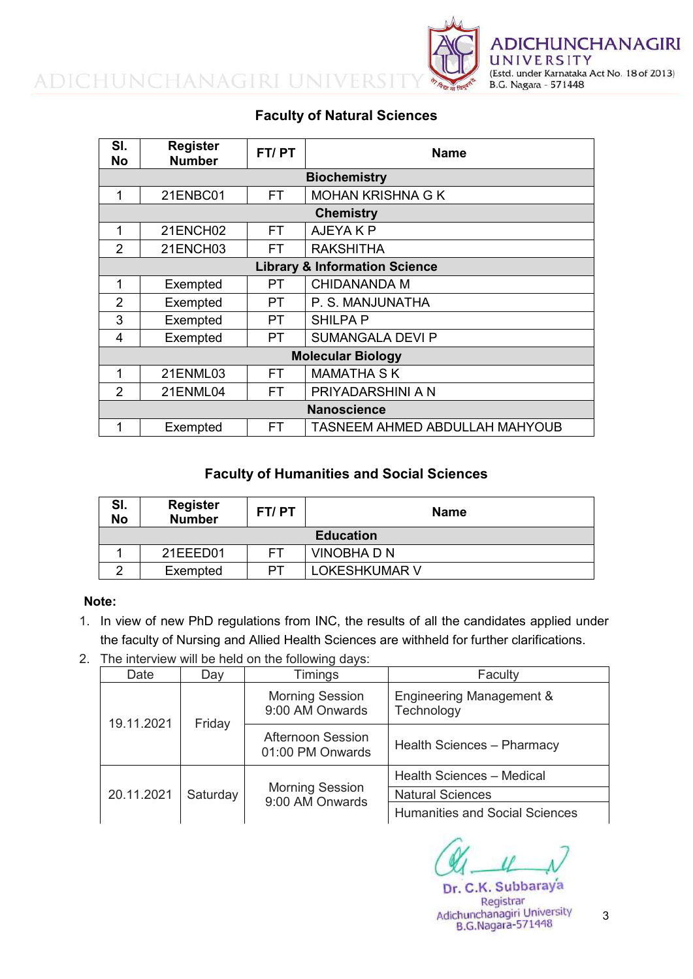

### **Faculty of Natural Sciences**

| SI.<br><b>No</b>                         | <b>Register</b><br><b>Number</b> | FT/PT     | <b>Name</b>                           |  |
|------------------------------------------|----------------------------------|-----------|---------------------------------------|--|
| <b>Biochemistry</b>                      |                                  |           |                                       |  |
| 1                                        | 21ENBC01                         | FT.       | <b>MOHAN KRISHNA G K</b>              |  |
|                                          | <b>Chemistry</b>                 |           |                                       |  |
| 1                                        | 21ENCH02                         | FT.       | AJEYA K P                             |  |
| 2                                        | 21ENCH03                         | FT.       | <b>RAKSHITHA</b>                      |  |
| <b>Library &amp; Information Science</b> |                                  |           |                                       |  |
| 1                                        | Exempted                         | PT        | <b>CHIDANANDA M</b>                   |  |
| $\overline{2}$                           | Exempted                         | PT        | P. S. MANJUNATHA                      |  |
| 3                                        | Exempted                         | PT        | <b>SHILPA P</b>                       |  |
| 4                                        | Exempted                         | <b>PT</b> | <b>SUMANGALA DEVI P</b>               |  |
| <b>Molecular Biology</b>                 |                                  |           |                                       |  |
| 1                                        | 21ENML03                         | <b>FT</b> | <b>MAMATHA SK</b>                     |  |
| 2                                        | 21ENML04                         | <b>FT</b> | PRIYADARSHINI A N                     |  |
| <b>Nanoscience</b>                       |                                  |           |                                       |  |
| 1                                        | Exempted                         | FT        | <b>TASNEEM AHMED ABDULLAH MAHYOUB</b> |  |

#### **Faculty of Humanities and Social Sciences**

| SI.<br><b>No</b> | <b>Register</b><br><b>Number</b> | FT/PT | Name                 |  |
|------------------|----------------------------------|-------|----------------------|--|
| <b>Education</b> |                                  |       |                      |  |
|                  | 21EEED01                         | FТ    | <b>VINOBHADN</b>     |  |
|                  | Exempted                         | PТ    | <b>LOKESHKUMAR V</b> |  |

#### **Note:**

- 1. In view of new PhD regulations from INC, the results of all the candidates applied under the faculty of Nursing and Allied Health Sciences are withheld for further clarifications.
- 2. The interview will be held on the following days:

| Date       | Day      | <b>Timings</b>                               | Faculty                                |
|------------|----------|----------------------------------------------|----------------------------------------|
| 19.11.2021 | Friday   | <b>Morning Session</b><br>9:00 AM Onwards    | Engineering Management &<br>Technology |
|            |          | <b>Afternoon Session</b><br>01:00 PM Onwards | Health Sciences - Pharmacy             |
|            | Saturday |                                              | Health Sciences - Medical              |
| 20.11.2021 |          | <b>Morning Session</b><br>9:00 AM Onwards    | <b>Natural Sciences</b>                |
|            |          |                                              | <b>Humanities and Social Sciences</b>  |

Dr. C.K. Subbaraya Registrar Adichunchanagiri University **B.G.Nagara-571448** 

3